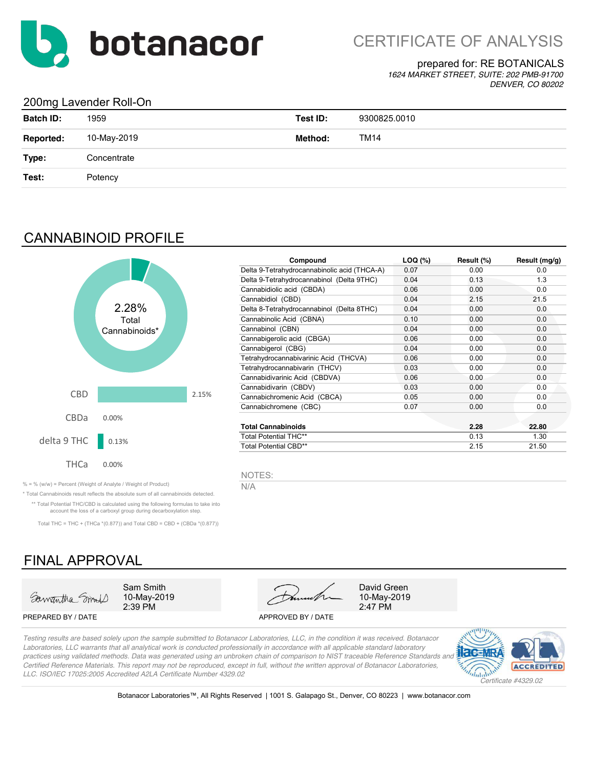

## prepared for: RE BOTANICALS

*1624 MARKET STREET, SUITE: 202 PMB-91700 DENVER, CO 80202*

## 200mg Lavender Roll-On

| <b>Batch ID:</b> | 1959        | Test ID: | 9300825.0010 |
|------------------|-------------|----------|--------------|
| <b>Reported:</b> | 10-May-2019 | Method:  | <b>TM14</b>  |
| Type:            | Concentrate |          |              |
| Test:            | Potency     |          |              |
|                  |             |          |              |

## CANNABINOID PROFILE



| Compound                                     | LOQ (%) | Result (%) | Result (mg/g) |
|----------------------------------------------|---------|------------|---------------|
| Delta 9-Tetrahydrocannabinolic acid (THCA-A) | 0.07    | 0.00       | 0.0           |
| Delta 9-Tetrahydrocannabinol (Delta 9THC)    | 0.04    | 0.13       | 1.3           |
| Cannabidiolic acid (CBDA)                    | 0.06    | 0.00       | 0.0           |
| Cannabidiol (CBD)                            | 0.04    | 2.15       | 21.5          |
| Delta 8-Tetrahydrocannabinol (Delta 8THC)    | 0.04    | 0.00       | 0.0           |
| Cannabinolic Acid (CBNA)                     | 0.10    | 0.00       | 0.0           |
| Cannabinol (CBN)                             | 0.04    | 0.00       | 0.0           |
| Cannabigerolic acid (CBGA)                   | 0.06    | 0.00       | 0.0           |
| Cannabigerol (CBG)                           | 0.04    | 0.00       | 0.0           |
| Tetrahydrocannabivarinic Acid (THCVA)        | 0.06    | 0.00       | 0.0           |
| Tetrahydrocannabivarin (THCV)                | 0.03    | 0.00       | 0.0           |
| Cannabidivarinic Acid (CBDVA)                | 0.06    | 0.00       | 0.0           |
| Cannabidivarin (CBDV)                        | 0.03    | 0.00       | 0.0           |
| Cannabichromenic Acid (CBCA)                 | 0.05    | 0.00       | 0.0           |
| Cannabichromene (CBC)                        | 0.07    | 0.00       | 0.0           |
| <b>Total Cannabinoids</b>                    |         | 2.28       | 22.80         |
| <b>Total Potential THC**</b>                 |         | 0.13       | 1.30          |
| Total Potential CBD**                        |         | 2.15       | 21.50         |

NOTES:

% = % (w/w) = Percent (Weight of Analyte / Weight of Product)  $N/A$ 

\* Total Cannabinoids result reflects the absolute sum of all cannabinoids detected. \*\* Total Potential THC/CBD is calculated using the following formulas to take into account the loss of a carboxyl group during decarboxylation step.

Total THC = THC + (THCa  $*(0.877)$ ) and Total CBD = CBD + (CBDa  $*(0.877)$ )

# FINAL APPROVAL



2:39 PM 10-May-2019





10-May-2019

*Testing results are based solely upon the sample submitted to Botanacor Laboratories, LLC, in the condition it was received. Botanacor Laboratories, LLC warrants that all analytical work is conducted professionally in accordance with all applicable standard laboratory practices using validated methods. Data was generated using an unbroken chain of comparison to NIST traceable Reference Standards and Certified Reference Materials. This report may not be reproduced, except in full, without the written approval of Botanacor Laboratories, LLC. ISO/IEC 17025:2005 Accredited A2LA Certificate Number 4329.02*



Botanacor Laboratories™, All Rights Reserved | 1001 S. Galapago St., Denver, CO 80223 | www.botanacor.com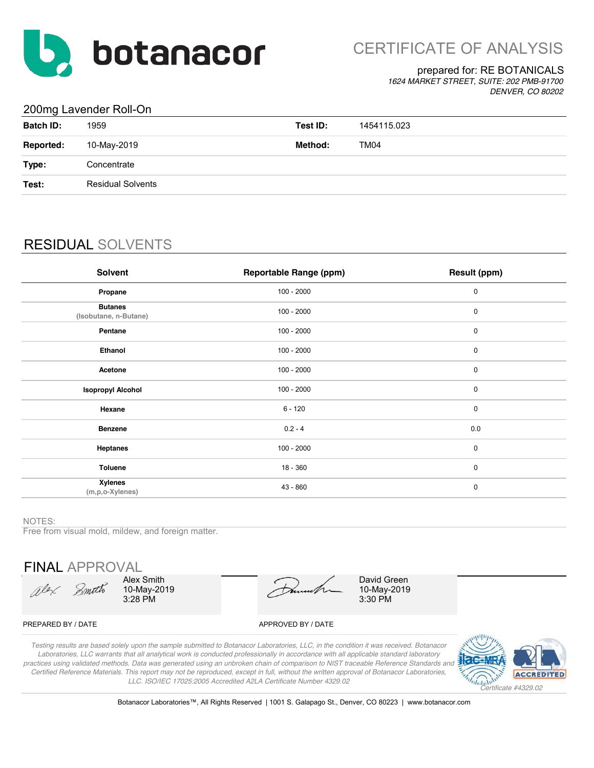

## prepared for: RE BOTANICALS

*1624 MARKET STREET, SUITE: 202 PMB-91700 DENVER, CO 80202*

## 200mg Lavender Roll-On

| $\tilde{\phantom{a}}$ |                          |          |             |
|-----------------------|--------------------------|----------|-------------|
| <b>Batch ID:</b>      | 1959                     | Test ID: | 1454115.023 |
| <b>Reported:</b>      | 10-May-2019              | Method:  | TM04        |
| Type:                 | Concentrate              |          |             |
| Test:                 | <b>Residual Solvents</b> |          |             |
|                       |                          |          |             |

# RESIDUAL SOLVENTS

| Solvent                                   | <b>Reportable Range (ppm)</b> | Result (ppm) |
|-------------------------------------------|-------------------------------|--------------|
| Propane                                   | $100 - 2000$                  | 0            |
| <b>Butanes</b><br>(Isobutane, n-Butane)   | $100 - 2000$                  | 0            |
| Pentane                                   | $100 - 2000$                  | 0            |
| Ethanol                                   | $100 - 2000$                  | 0            |
| Acetone                                   | $100 - 2000$                  | 0            |
| <b>Isopropyl Alcohol</b>                  | $100 - 2000$                  | 0            |
| Hexane                                    | $6 - 120$                     | $\mathbf 0$  |
| <b>Benzene</b>                            | $0.2 - 4$                     | 0.0          |
| <b>Heptanes</b>                           | $100 - 2000$                  | $\mathbf 0$  |
| <b>Toluene</b>                            | $18 - 360$                    | $\mathbf 0$  |
| <b>Xylenes</b><br>$(m, p, o$ -Xylenes $)$ | $43 - 860$                    | $\mathbf 0$  |

### NOTES:

Free from visual mold, mildew, and foreign matter.

FINAL APPROVAL

Olex Smith

Alex Smith 10-May-2019 3:28 PM

10-May-2019 3:30 PM David Green

### PREPARED BY / DATE APPROVED BY / DATE

*Testing results are based solely upon the sample submitted to Botanacor Laboratories, LLC, in the condition it was received. Botanacor Laboratories, LLC warrants that all analytical work is conducted professionally in accordance with all applicable standard laboratory practices using validated methods. Data was generated using an unbroken chain of comparison to NIST traceable Reference Standards and Certified Reference Materials. This report may not be reproduced, except in full, without the written approval of Botanacor Laboratories, LLC. ISO/IEC 17025:2005 Accredited A2LA Certificate Number 4329.02*



Botanacor Laboratories™, All Rights Reserved | 1001 S. Galapago St., Denver, CO 80223 | www.botanacor.com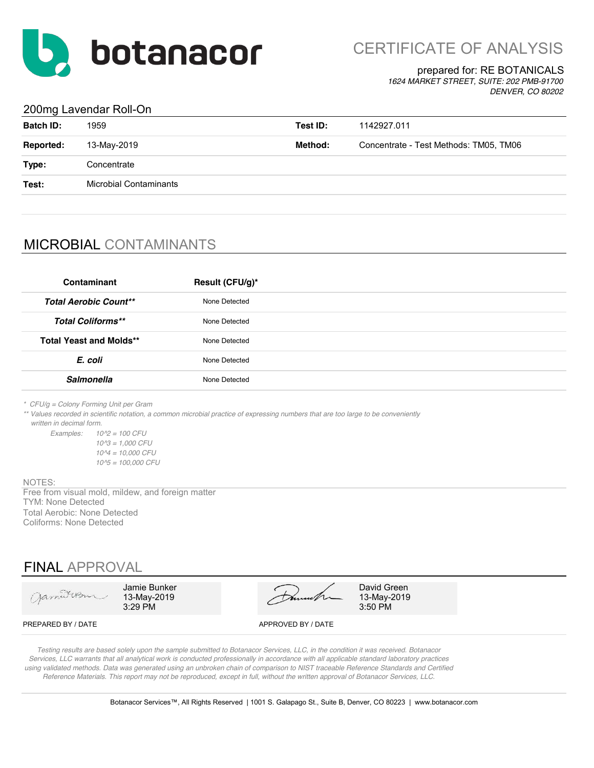

CERTIFICATE OF ANALYSIS

## prepared for: RE BOTANICALS

*1624 MARKET STREET, SUITE: 202 PMB-91700 DENVER, CO 80202*

## 200mg Lavendar Roll-On

| <b>Batch ID:</b> | 1959                          | Test ID: | 1142927.011                            |
|------------------|-------------------------------|----------|----------------------------------------|
| <b>Reported:</b> | 13-May-2019                   | Method:  | Concentrate - Test Methods: TM05, TM06 |
| Type:            | Concentrate                   |          |                                        |
| Test:            | <b>Microbial Contaminants</b> |          |                                        |
|                  |                               |          |                                        |

## MICROBIAL CONTAMINANTS

| Contaminant                    | Result (CFU/g)* |
|--------------------------------|-----------------|
| <b>Total Aerobic Count**</b>   | None Detected   |
| <b>Total Coliforms**</b>       | None Detected   |
| <b>Total Yeast and Molds**</b> | None Detected   |
| E. coli                        | None Detected   |
| <b>Salmonella</b>              | None Detected   |

*\* CFU/g = Colony Forming Unit per Gram*

*\*\* Values recorded in scientific notation, a common microbial practice of expressing numbers that are too large to be conveniently written in decimal form.*

*Examples: 10^2 = 100 CFU 10^3 = 1,000 CFU 10^4 = 10,000 CFU 10^5 = 100,000 CFU*

NOTES:

TYM: None Detected Total Aerobic: None Detected Coliforms: None Detected Free from visual mold, mildew, and foreign matter

## FINAL APPROVAL

| James usu          | Jamie Bunker<br>13-May-2019<br>$3:29$ PM | mml                | David Green<br>13-May-2019<br>$3:50$ PM |
|--------------------|------------------------------------------|--------------------|-----------------------------------------|
| PREPARED BY / DATE |                                          | APPROVED BY / DATE |                                         |

*Testing results are based solely upon the sample submitted to Botanacor Services, LLC, in the condition it was received. Botanacor Services, LLC warrants that all analytical work is conducted professionally in accordance with all applicable standard laboratory practices using validated methods. Data was generated using an unbroken chain of comparison to NIST traceable Reference Standards and Certified Reference Materials. This report may not be reproduced, except in full, without the written approval of Botanacor Services, LLC.*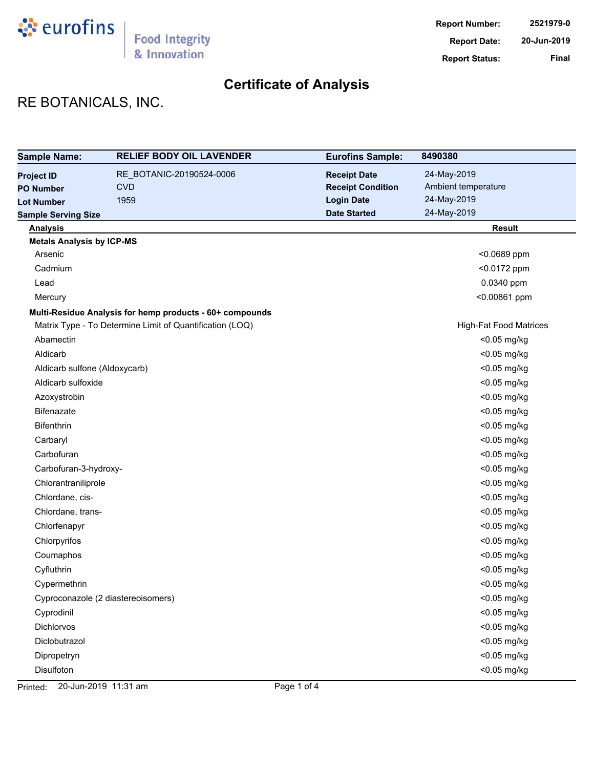

# RE BOTANICALS, INC.

| <b>Sample Name:</b>              | <b>RELIEF BODY OIL LAVENDER</b>                          | <b>Eurofins Sample:</b>  | 8490380                       |
|----------------------------------|----------------------------------------------------------|--------------------------|-------------------------------|
| <b>Project ID</b>                | RE_BOTANIC-20190524-0006                                 | <b>Receipt Date</b>      | 24-May-2019                   |
| <b>PO Number</b>                 | <b>CVD</b>                                               | <b>Receipt Condition</b> | Ambient temperature           |
| <b>Lot Number</b>                | 1959                                                     | <b>Login Date</b>        | 24-May-2019                   |
| <b>Sample Serving Size</b>       |                                                          | <b>Date Started</b>      | 24-May-2019                   |
| <b>Analysis</b>                  |                                                          |                          | <b>Result</b>                 |
| <b>Metals Analysis by ICP-MS</b> |                                                          |                          |                               |
| Arsenic                          |                                                          |                          | <0.0689 ppm                   |
| Cadmium                          |                                                          |                          | <0.0172 ppm                   |
| Lead                             |                                                          |                          | 0.0340 ppm                    |
| Mercury                          |                                                          |                          | <0.00861 ppm                  |
|                                  | Multi-Residue Analysis for hemp products - 60+ compounds |                          |                               |
|                                  | Matrix Type - To Determine Limit of Quantification (LOQ) |                          | <b>High-Fat Food Matrices</b> |
| Abamectin                        |                                                          |                          | <0.05 mg/kg                   |
| Aldicarb                         |                                                          |                          | <0.05 mg/kg                   |
| Aldicarb sulfone (Aldoxycarb)    |                                                          |                          | <0.05 mg/kg                   |
| Aldicarb sulfoxide               |                                                          |                          | <0.05 mg/kg                   |
| Azoxystrobin                     |                                                          |                          | <0.05 mg/kg                   |
| <b>Bifenazate</b>                |                                                          |                          | <0.05 mg/kg                   |
| <b>Bifenthrin</b>                |                                                          |                          | <0.05 mg/kg                   |
| Carbaryl                         |                                                          |                          | <0.05 mg/kg                   |
| Carbofuran                       |                                                          |                          | <0.05 mg/kg                   |
| Carbofuran-3-hydroxy-            |                                                          |                          | <0.05 mg/kg                   |
| Chlorantraniliprole              |                                                          |                          | <0.05 mg/kg                   |
| Chlordane, cis-                  |                                                          |                          | <0.05 mg/kg                   |
| Chlordane, trans-                |                                                          |                          | <0.05 mg/kg                   |
| Chlorfenapyr                     |                                                          |                          | <0.05 mg/kg                   |
| Chlorpyrifos                     |                                                          |                          | <0.05 mg/kg                   |
| Coumaphos                        |                                                          |                          | <0.05 mg/kg                   |
| Cyfluthrin                       |                                                          |                          | <0.05 mg/kg                   |
| Cypermethrin                     |                                                          |                          | <0.05 mg/kg                   |
|                                  | Cyproconazole (2 diastereoisomers)                       |                          | <0.05 mg/kg                   |
| Cyprodinil                       |                                                          |                          | <0.05 mg/kg                   |
| <b>Dichlorvos</b>                |                                                          |                          | $<$ 0.05 mg/kg                |
| Diclobutrazol                    |                                                          |                          | <0.05 mg/kg                   |
| Dipropetryn                      |                                                          |                          | <0.05 mg/kg                   |
| Disulfoton                       |                                                          |                          | <0.05 mg/kg                   |

Printed: 20-Jun-2019 11:31 am Page 1 of 4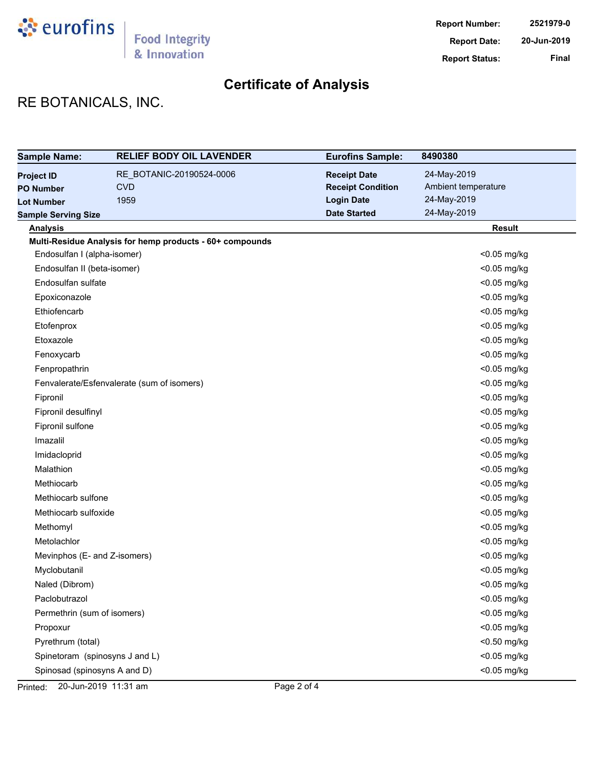

# RE BOTANICALS, INC.

| <b>Sample Name:</b>            | <b>RELIEF BODY OIL LAVENDER</b>                          | <b>Eurofins Sample:</b>  | 8490380             |
|--------------------------------|----------------------------------------------------------|--------------------------|---------------------|
| <b>Project ID</b>              | RE_BOTANIC-20190524-0006                                 | <b>Receipt Date</b>      | 24-May-2019         |
| <b>PO Number</b>               | <b>CVD</b>                                               | <b>Receipt Condition</b> | Ambient temperature |
| <b>Lot Number</b>              | 1959                                                     | <b>Login Date</b>        | 24-May-2019         |
| <b>Sample Serving Size</b>     |                                                          | <b>Date Started</b>      | 24-May-2019         |
| <b>Analysis</b>                |                                                          |                          | <b>Result</b>       |
|                                | Multi-Residue Analysis for hemp products - 60+ compounds |                          |                     |
| Endosulfan I (alpha-isomer)    |                                                          |                          | <0.05 mg/kg         |
| Endosulfan II (beta-isomer)    |                                                          |                          | <0.05 mg/kg         |
| Endosulfan sulfate             |                                                          |                          | <0.05 mg/kg         |
| Epoxiconazole                  |                                                          |                          | <0.05 mg/kg         |
| Ethiofencarb                   |                                                          |                          | <0.05 mg/kg         |
| Etofenprox                     |                                                          |                          | <0.05 mg/kg         |
| Etoxazole                      |                                                          |                          | <0.05 mg/kg         |
| Fenoxycarb                     |                                                          |                          | <0.05 mg/kg         |
| Fenpropathrin                  |                                                          |                          | <0.05 mg/kg         |
|                                | Fenvalerate/Esfenvalerate (sum of isomers)               |                          | <0.05 mg/kg         |
| Fipronil                       |                                                          |                          | <0.05 mg/kg         |
| Fipronil desulfinyl            |                                                          |                          | <0.05 mg/kg         |
| Fipronil sulfone               |                                                          |                          | <0.05 mg/kg         |
| Imazalil                       |                                                          |                          | <0.05 mg/kg         |
| Imidacloprid                   |                                                          |                          | <0.05 mg/kg         |
| Malathion                      |                                                          |                          | <0.05 mg/kg         |
| Methiocarb                     |                                                          |                          | <0.05 mg/kg         |
| Methiocarb sulfone             |                                                          |                          | <0.05 mg/kg         |
| Methiocarb sulfoxide           |                                                          |                          | <0.05 mg/kg         |
| Methomyl                       |                                                          |                          | <0.05 mg/kg         |
| Metolachlor                    |                                                          |                          | <0.05 mg/kg         |
| Mevinphos (E- and Z-isomers)   |                                                          |                          | <0.05 mg/kg         |
| Myclobutanil                   |                                                          |                          | <0.05 mg/kg         |
| Naled (Dibrom)                 |                                                          |                          | <0.05 mg/kg         |
| Paclobutrazol                  |                                                          |                          | <0.05 mg/kg         |
| Permethrin (sum of isomers)    |                                                          |                          | $<$ 0.05 mg/kg      |
| Propoxur                       |                                                          |                          | <0.05 mg/kg         |
| Pyrethrum (total)              |                                                          |                          | <0.50 mg/kg         |
| Spinetoram (spinosyns J and L) |                                                          |                          | $<$ 0.05 mg/kg      |
| Spinosad (spinosyns A and D)   |                                                          |                          | <0.05 mg/kg         |

Printed: 20-Jun-2019 11:31 am Page 2 of 4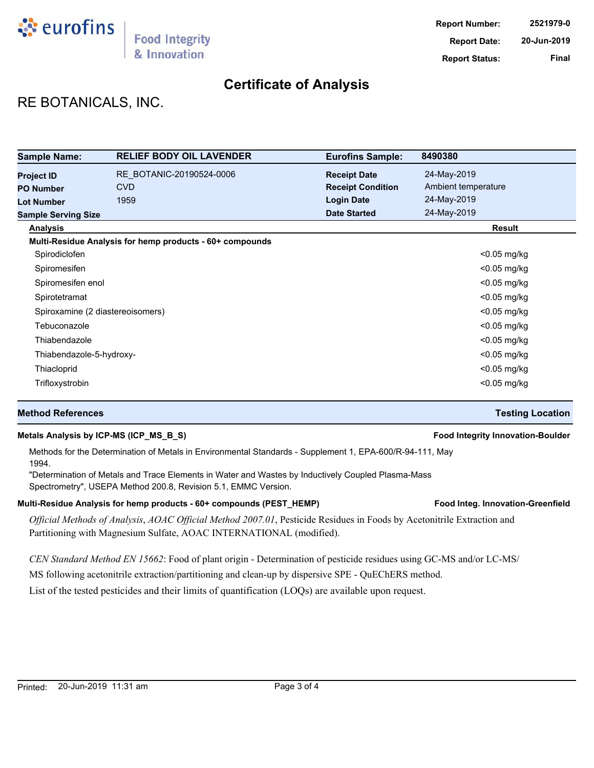

# RE BOTANICALS, INC.

| <b>Sample Name:</b>                   | <b>RELIEF BODY OIL LAVENDER</b>                          | <b>Eurofins Sample:</b>                         | 8490380                            |
|---------------------------------------|----------------------------------------------------------|-------------------------------------------------|------------------------------------|
| <b>Project ID</b><br><b>PO Number</b> | RE BOTANIC-20190524-0006<br><b>CVD</b>                   | <b>Receipt Date</b><br><b>Receipt Condition</b> | 24-May-2019<br>Ambient temperature |
| <b>Lot Number</b>                     | 1959                                                     | <b>Login Date</b>                               | 24-May-2019                        |
| <b>Sample Serving Size</b>            |                                                          | <b>Date Started</b>                             | 24-May-2019                        |
| <b>Analysis</b>                       |                                                          |                                                 | Result                             |
|                                       | Multi-Residue Analysis for hemp products - 60+ compounds |                                                 |                                    |
| Spirodiclofen                         |                                                          |                                                 | <0.05 mg/kg                        |
| Spiromesifen                          |                                                          |                                                 | $<$ 0.05 mg/kg                     |
| Spiromesifen enol                     |                                                          |                                                 | $<$ 0.05 mg/kg                     |
| Spirotetramat                         |                                                          |                                                 | $<$ 0.05 mg/kg                     |
|                                       | Spiroxamine (2 diastereoisomers)                         |                                                 | $<$ 0.05 mg/kg                     |
| Tebuconazole                          |                                                          |                                                 | $<$ 0.05 mg/kg                     |
| Thiabendazole                         |                                                          |                                                 | $<$ 0.05 mg/kg                     |
| Thiabendazole-5-hydroxy-              |                                                          |                                                 | $<$ 0.05 mg/kg                     |
| Thiacloprid                           |                                                          |                                                 | $<$ 0.05 mg/kg                     |
| Trifloxystrobin                       |                                                          |                                                 | $<$ 0.05 mg/kg                     |

## **Method References Testing Location**

## **Metals Analysis by ICP-MS (ICP\_MS\_B\_S) Food Integrity Innovation-Boulder**

Methods for the Determination of Metals in Environmental Standards - Supplement 1, EPA-600/R-94-111, May 1994.

"Determination of Metals and Trace Elements in Water and Wastes by Inductively Coupled Plasma-Mass Spectrometry", USEPA Method 200.8, Revision 5.1, EMMC Version.

### Multi-Residue Analysis for hemp products - 60+ compounds (PEST\_HEMP) **Food Integ. Innovation-Greenfield**

*Official Methods of Analysis*, *AOAC Official Method 2007.01*, Pesticide Residues in Foods by Acetonitrile Extraction and Partitioning with Magnesium Sulfate, AOAC INTERNATIONAL (modified).

*CEN Standard Method EN 15662*: Food of plant origin - Determination of pesticide residues using GC-MS and/or LC-MS/

MS following acetonitrile extraction/partitioning and clean-up by dispersive SPE - QuEChERS method.

List of the tested pesticides and their limits of quantification (LOQs) are available upon request.